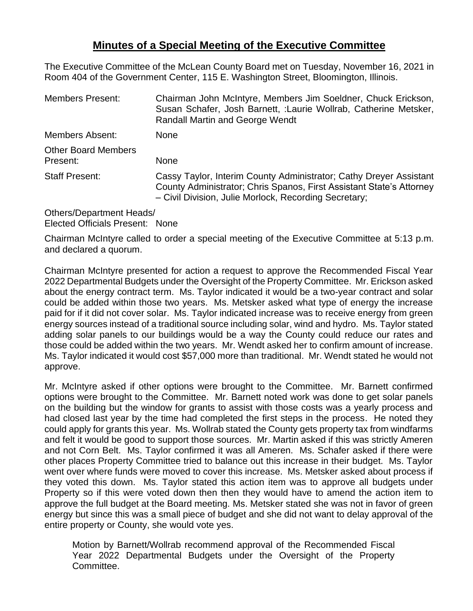## **Minutes of a Special Meeting of the Executive Committee**

The Executive Committee of the McLean County Board met on Tuesday, November 16, 2021 in Room 404 of the Government Center, 115 E. Washington Street, Bloomington, Illinois.

| <b>Members Present:</b>                | Chairman John McIntyre, Members Jim Soeldner, Chuck Erickson,<br>Susan Schafer, Josh Barnett, :Laurie Wollrab, Catherine Metsker,<br><b>Randall Martin and George Wendt</b>                         |
|----------------------------------------|-----------------------------------------------------------------------------------------------------------------------------------------------------------------------------------------------------|
| Members Absent:                        | <b>None</b>                                                                                                                                                                                         |
| <b>Other Board Members</b><br>Present: | None                                                                                                                                                                                                |
| <b>Staff Present:</b>                  | Cassy Taylor, Interim County Administrator; Cathy Dreyer Assistant<br>County Administrator; Chris Spanos, First Assistant State's Attorney<br>- Civil Division, Julie Morlock, Recording Secretary; |
|                                        |                                                                                                                                                                                                     |

Others/Department Heads/ Elected Officials Present: None

Chairman McIntyre called to order a special meeting of the Executive Committee at 5:13 p.m. and declared a quorum.

Chairman McIntyre presented for action a request to approve the Recommended Fiscal Year 2022 Departmental Budgets under the Oversight of the Property Committee. Mr. Erickson asked about the energy contract term. Ms. Taylor indicated it would be a two-year contract and solar could be added within those two years. Ms. Metsker asked what type of energy the increase paid for if it did not cover solar. Ms. Taylor indicated increase was to receive energy from green energy sources instead of a traditional source including solar, wind and hydro. Ms. Taylor stated adding solar panels to our buildings would be a way the County could reduce our rates and those could be added within the two years. Mr. Wendt asked her to confirm amount of increase. Ms. Taylor indicated it would cost \$57,000 more than traditional. Mr. Wendt stated he would not approve.

Mr. McIntyre asked if other options were brought to the Committee. Mr. Barnett confirmed options were brought to the Committee. Mr. Barnett noted work was done to get solar panels on the building but the window for grants to assist with those costs was a yearly process and had closed last year by the time had completed the first steps in the process. He noted they could apply for grants this year. Ms. Wollrab stated the County gets property tax from windfarms and felt it would be good to support those sources. Mr. Martin asked if this was strictly Ameren and not Corn Belt. Ms. Taylor confirmed it was all Ameren. Ms. Schafer asked if there were other places Property Committee tried to balance out this increase in their budget. Ms. Taylor went over where funds were moved to cover this increase. Ms. Metsker asked about process if they voted this down. Ms. Taylor stated this action item was to approve all budgets under Property so if this were voted down then then they would have to amend the action item to approve the full budget at the Board meeting. Ms. Metsker stated she was not in favor of green energy but since this was a small piece of budget and she did not want to delay approval of the entire property or County, she would vote yes.

Motion by Barnett/Wollrab recommend approval of the Recommended Fiscal Year 2022 Departmental Budgets under the Oversight of the Property Committee.